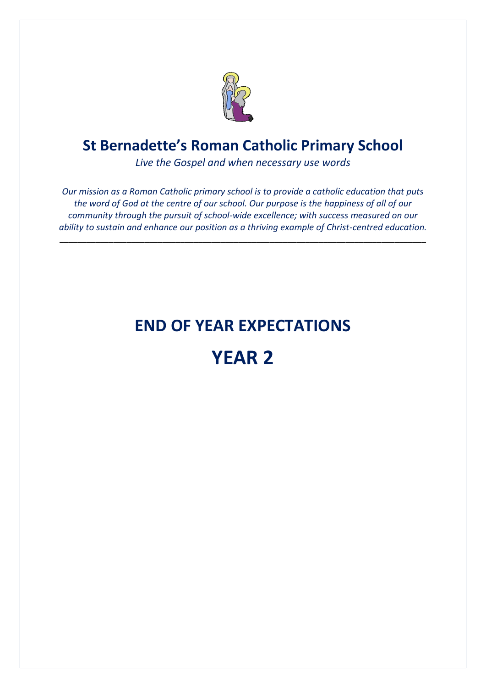

*Live the Gospel and when necessary use words*

*Our mission as a Roman Catholic primary school is to provide a catholic education that puts the word of God at the centre of our school. Our purpose is the happiness of all of our community through the pursuit of school-wide excellence; with success measured on our ability to sustain and enhance our position as a thriving example of Christ-centred education.*

**\_\_\_\_\_\_\_\_\_\_\_\_\_\_\_\_\_\_\_\_\_\_\_\_\_\_\_\_\_\_\_\_\_\_\_\_\_\_\_\_\_\_\_\_\_\_\_\_\_\_\_\_\_\_\_\_\_\_\_\_\_\_\_\_\_\_\_\_\_\_\_\_\_\_\_\_\_\_\_\_\_\_**

# **END OF YEAR EXPECTATIONS**

# **YEAR 2**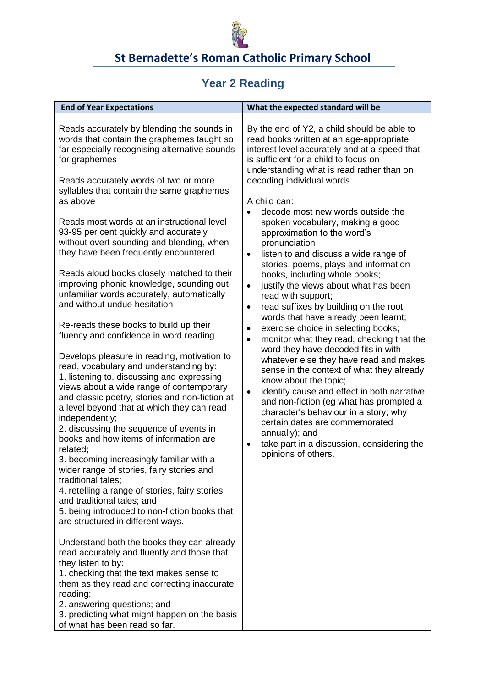

#### **Year 2 Reading**

| <b>End of Year Expectations</b>                                                                                                                                                                                                                                                                                                                                                                                                                                                                                                                                                                                                                                                                                                                                                                                                                                                                                                                                                                                                                                                                                                                                                                                                                                                                                                                                                                                                                                                                                                                                                                                                                                                                                                            | What the expected standard will be                                                                                                                                                                                                                                                                                                                                                                                                                                                                                                                                                                                                                                                                                                                                                                                                                                                                                                                                                                                                                                                                                                                                                                                                                                                     |
|--------------------------------------------------------------------------------------------------------------------------------------------------------------------------------------------------------------------------------------------------------------------------------------------------------------------------------------------------------------------------------------------------------------------------------------------------------------------------------------------------------------------------------------------------------------------------------------------------------------------------------------------------------------------------------------------------------------------------------------------------------------------------------------------------------------------------------------------------------------------------------------------------------------------------------------------------------------------------------------------------------------------------------------------------------------------------------------------------------------------------------------------------------------------------------------------------------------------------------------------------------------------------------------------------------------------------------------------------------------------------------------------------------------------------------------------------------------------------------------------------------------------------------------------------------------------------------------------------------------------------------------------------------------------------------------------------------------------------------------------|----------------------------------------------------------------------------------------------------------------------------------------------------------------------------------------------------------------------------------------------------------------------------------------------------------------------------------------------------------------------------------------------------------------------------------------------------------------------------------------------------------------------------------------------------------------------------------------------------------------------------------------------------------------------------------------------------------------------------------------------------------------------------------------------------------------------------------------------------------------------------------------------------------------------------------------------------------------------------------------------------------------------------------------------------------------------------------------------------------------------------------------------------------------------------------------------------------------------------------------------------------------------------------------|
| Reads accurately by blending the sounds in<br>words that contain the graphemes taught so<br>far especially recognising alternative sounds<br>for graphemes<br>Reads accurately words of two or more<br>syllables that contain the same graphemes<br>as above<br>Reads most words at an instructional level<br>93-95 per cent quickly and accurately<br>without overt sounding and blending, when<br>they have been frequently encountered<br>Reads aloud books closely matched to their<br>improving phonic knowledge, sounding out<br>unfamiliar words accurately, automatically<br>and without undue hesitation<br>Re-reads these books to build up their<br>fluency and confidence in word reading<br>Develops pleasure in reading, motivation to<br>read, vocabulary and understanding by:<br>1. listening to, discussing and expressing<br>views about a wide range of contemporary<br>and classic poetry, stories and non-fiction at<br>a level beyond that at which they can read<br>independently;<br>2. discussing the sequence of events in<br>books and how items of information are<br>related;<br>3. becoming increasingly familiar with a<br>wider range of stories, fairy stories and<br>traditional tales;<br>4. retelling a range of stories, fairy stories<br>and traditional tales; and<br>5. being introduced to non-fiction books that<br>are structured in different ways.<br>Understand both the books they can already<br>read accurately and fluently and those that<br>they listen to by:<br>1. checking that the text makes sense to<br>them as they read and correcting inaccurate<br>reading;<br>2. answering questions; and<br>3. predicting what might happen on the basis<br>of what has been read so far. | By the end of Y2, a child should be able to<br>read books written at an age-appropriate<br>interest level accurately and at a speed that<br>is sufficient for a child to focus on<br>understanding what is read rather than on<br>decoding individual words<br>A child can:<br>decode most new words outside the<br>$\bullet$<br>spoken vocabulary, making a good<br>approximation to the word's<br>pronunciation<br>listen to and discuss a wide range of<br>$\bullet$<br>stories, poems, plays and information<br>books, including whole books;<br>justify the views about what has been<br>$\bullet$<br>read with support;<br>read suffixes by building on the root<br>$\bullet$<br>words that have already been learnt;<br>exercise choice in selecting books;<br>$\bullet$<br>monitor what they read, checking that the<br>$\bullet$<br>word they have decoded fits in with<br>whatever else they have read and makes<br>sense in the context of what they already<br>know about the topic;<br>identify cause and effect in both narrative<br>$\bullet$<br>and non-fiction (eg what has prompted a<br>character's behaviour in a story; why<br>certain dates are commemorated<br>annually); and<br>take part in a discussion, considering the<br>$\bullet$<br>opinions of others. |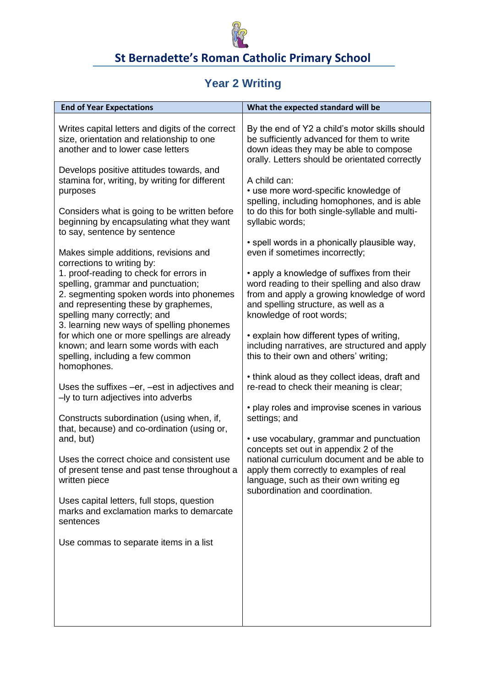

# **Year 2 Writing**

| <b>End of Year Expectations</b>                                                                                                                                                                                                     | What the expected standard will be                                                                                                                                                                                      |
|-------------------------------------------------------------------------------------------------------------------------------------------------------------------------------------------------------------------------------------|-------------------------------------------------------------------------------------------------------------------------------------------------------------------------------------------------------------------------|
| Writes capital letters and digits of the correct<br>size, orientation and relationship to one<br>another and to lower case letters                                                                                                  | By the end of Y2 a child's motor skills should<br>be sufficiently advanced for them to write<br>down ideas they may be able to compose<br>orally. Letters should be orientated correctly                                |
| Develops positive attitudes towards, and<br>stamina for, writing, by writing for different<br>purposes<br>Considers what is going to be written before<br>beginning by encapsulating what they want<br>to say, sentence by sentence | A child can:<br>• use more word-specific knowledge of<br>spelling, including homophones, and is able<br>to do this for both single-syllable and multi-<br>syllabic words;                                               |
| Makes simple additions, revisions and<br>corrections to writing by:                                                                                                                                                                 | • spell words in a phonically plausible way,<br>even if sometimes incorrectly;                                                                                                                                          |
| 1. proof-reading to check for errors in<br>spelling, grammar and punctuation;<br>2. segmenting spoken words into phonemes<br>and representing these by graphemes,<br>spelling many correctly; and                                   | • apply a knowledge of suffixes from their<br>word reading to their spelling and also draw<br>from and apply a growing knowledge of word<br>and spelling structure, as well as a<br>knowledge of root words;            |
| 3. learning new ways of spelling phonemes<br>for which one or more spellings are already<br>known; and learn some words with each<br>spelling, including a few common<br>homophones.                                                | • explain how different types of writing,<br>including narratives, are structured and apply<br>this to their own and others' writing;                                                                                   |
| Uses the suffixes -er, -est in adjectives and<br>-ly to turn adjectives into adverbs                                                                                                                                                | • think aloud as they collect ideas, draft and<br>re-read to check their meaning is clear;                                                                                                                              |
| Constructs subordination (using when, if,<br>that, because) and co-ordination (using or,                                                                                                                                            | • play roles and improvise scenes in various<br>settings; and                                                                                                                                                           |
| and, but)<br>Uses the correct choice and consistent use<br>of present tense and past tense throughout a<br>written piece                                                                                                            | • use vocabulary, grammar and punctuation<br>concepts set out in appendix 2 of the<br>national curriculum document and be able to<br>apply them correctly to examples of real<br>language, such as their own writing eg |
| Uses capital letters, full stops, question<br>marks and exclamation marks to demarcate<br>sentences                                                                                                                                 | subordination and coordination.                                                                                                                                                                                         |
| Use commas to separate items in a list                                                                                                                                                                                              |                                                                                                                                                                                                                         |
|                                                                                                                                                                                                                                     |                                                                                                                                                                                                                         |
|                                                                                                                                                                                                                                     |                                                                                                                                                                                                                         |